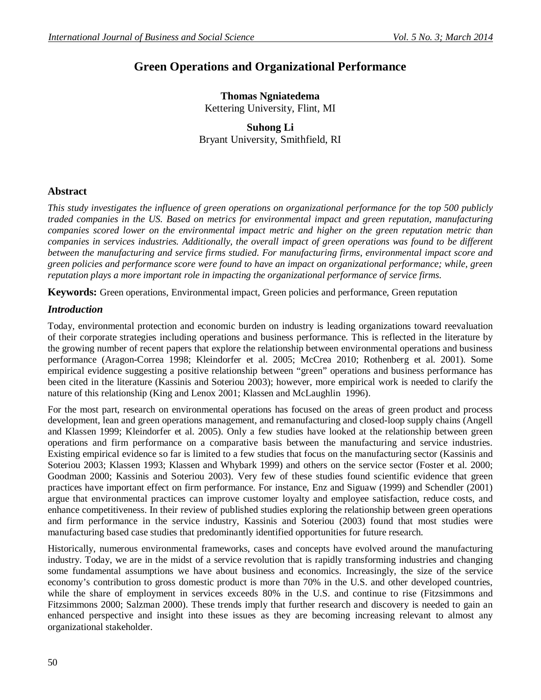# **Green Operations and Organizational Performance**

## **Thomas Ngniatedema** Kettering University, Flint, MI

**Suhong Li** Bryant University, Smithfield, RI

## **Abstract**

*This study investigates the influence of green operations on organizational performance for the top 500 publicly traded companies in the US. Based on metrics for environmental impact and green reputation, manufacturing companies scored lower on the environmental impact metric and higher on the green reputation metric than companies in services industries. Additionally, the overall impact of green operations was found to be different between the manufacturing and service firms studied. For manufacturing firms, environmental impact score and green policies and performance score were found to have an impact on organizational performance; while, green reputation plays a more important role in impacting the organizational performance of service firms.*

**Keywords:** Green operations, Environmental impact, Green policies and performance, Green reputation

### *Introduction*

Today, environmental protection and economic burden on industry is leading organizations toward reevaluation of their corporate strategies including operations and business performance. This is reflected in the literature by the growing number of recent papers that explore the relationship between environmental operations and business performance (Aragon-Correa 1998; Kleindorfer et al. 2005; McCrea 2010; Rothenberg et al. 2001). Some empirical evidence suggesting a positive relationship between "green" operations and business performance has been cited in the literature (Kassinis and Soteriou 2003); however, more empirical work is needed to clarify the nature of this relationship (King and Lenox 2001; Klassen and McLaughlin 1996).

For the most part, research on environmental operations has focused on the areas of green product and process development, lean and green operations management, and remanufacturing and closed-loop supply chains (Angell and Klassen 1999; Kleindorfer et al. 2005). Only a few studies have looked at the relationship between green operations and firm performance on a comparative basis between the manufacturing and service industries. Existing empirical evidence so far is limited to a few studies that focus on the manufacturing sector (Kassinis and Soteriou 2003; Klassen 1993; Klassen and Whybark 1999) and others on the service sector (Foster et al. 2000; Goodman 2000; Kassinis and Soteriou 2003). Very few of these studies found scientific evidence that green practices have important effect on firm performance. For instance, Enz and Siguaw (1999) and Schendler (2001) argue that environmental practices can improve customer loyalty and employee satisfaction, reduce costs, and enhance competitiveness. In their review of published studies exploring the relationship between green operations and firm performance in the service industry, Kassinis and Soteriou (2003) found that most studies were manufacturing based case studies that predominantly identified opportunities for future research.

Historically, numerous environmental frameworks, cases and concepts have evolved around the manufacturing industry. Today, we are in the midst of a service revolution that is rapidly transforming industries and changing some fundamental assumptions we have about business and economics. Increasingly, the size of the service economy's contribution to gross domestic product is more than 70% in the U.S. and other developed countries, while the share of employment in services exceeds 80% in the U.S. and continue to rise (Fitzsimmons and Fitzsimmons 2000; Salzman 2000). These trends imply that further research and discovery is needed to gain an enhanced perspective and insight into these issues as they are becoming increasing relevant to almost any organizational stakeholder.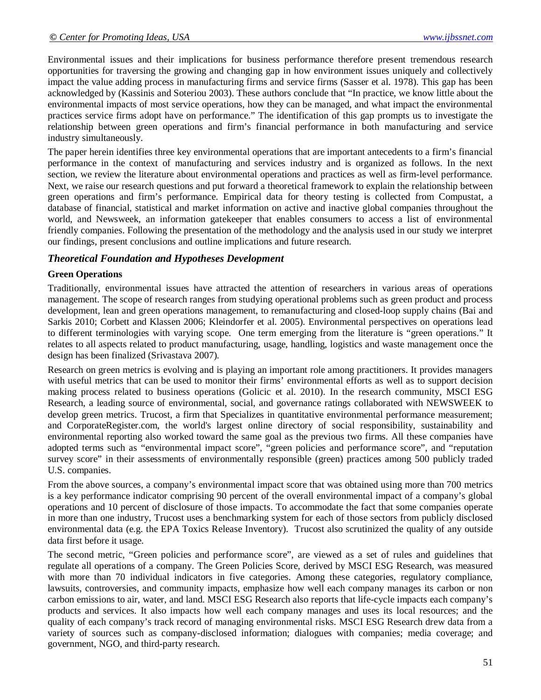Environmental issues and their implications for business performance therefore present tremendous research opportunities for traversing the growing and changing gap in how environment issues uniquely and collectively impact the value adding process in manufacturing firms and service firms (Sasser et al. 1978). This gap has been acknowledged by (Kassinis and Soteriou 2003). These authors conclude that "In practice, we know little about the environmental impacts of most service operations, how they can be managed, and what impact the environmental practices service firms adopt have on performance." The identification of this gap prompts us to investigate the relationship between green operations and firm's financial performance in both manufacturing and service industry simultaneously.

The paper herein identifies three key environmental operations that are important antecedents to a firm's financial performance in the context of manufacturing and services industry and is organized as follows. In the next section, we review the literature about environmental operations and practices as well as firm-level performance. Next, we raise our research questions and put forward a theoretical framework to explain the relationship between green operations and firm's performance. Empirical data for theory testing is collected from Compustat, a database of financial, statistical and market information on active and inactive global companies throughout the world, and Newsweek, an information gatekeeper that enables consumers to access a list of environmental friendly companies. Following the presentation of the methodology and the analysis used in our study we interpret our findings, present conclusions and outline implications and future research.

### *Theoretical Foundation and Hypotheses Development*

#### **Green Operations**

Traditionally, environmental issues have attracted the attention of researchers in various areas of operations management. The scope of research ranges from studying operational problems such as green product and process development, lean and green operations management, to remanufacturing and closed-loop supply chains (Bai and Sarkis 2010; Corbett and Klassen 2006; Kleindorfer et al. 2005). Environmental perspectives on operations lead to different terminologies with varying scope. One term emerging from the literature is "green operations." It relates to all aspects related to product manufacturing, usage, handling, logistics and waste management once the design has been finalized (Srivastava 2007).

Research on green metrics is evolving and is playing an important role among practitioners. It provides managers with useful metrics that can be used to monitor their firms' environmental efforts as well as to support decision making process related to business operations (Golicic et al. 2010). In the research community, MSCI ESG Research, a leading source of environmental, social, and governance ratings collaborated with NEWSWEEK to develop green metrics. Trucost, a firm that Specializes in quantitative environmental performance measurement; and CorporateRegister.com, the world's largest online directory of social responsibility, sustainability and environmental reporting also worked toward the same goal as the previous two firms. All these companies have adopted terms such as "environmental impact score", "green policies and performance score", and "reputation survey score" in their assessments of environmentally responsible (green) practices among 500 publicly traded U.S. companies.

From the above sources, a company's environmental impact score that was obtained using more than 700 metrics is a key performance indicator comprising 90 percent of the overall environmental impact of a company's global operations and 10 percent of disclosure of those impacts. To accommodate the fact that some companies operate in more than one industry, Trucost uses a benchmarking system for each of those sectors from publicly disclosed environmental data (e.g. the EPA Toxics Release Inventory). Trucost also scrutinized the quality of any outside data first before it usage.

The second metric, "Green policies and performance score", are viewed as a set of rules and guidelines that regulate all operations of a company. The Green Policies Score, derived by MSCI ESG Research, was measured with more than 70 individual indicators in five categories. Among these categories, regulatory compliance, lawsuits, controversies, and community impacts, emphasize how well each company manages its carbon or non carbon emissions to air, water, and land. MSCI ESG Research also reports that life-cycle impacts each company's products and services. It also impacts how well each company manages and uses its local resources; and the quality of each company's track record of managing environmental risks. MSCI ESG Research drew data from a variety of sources such as company-disclosed information; dialogues with companies; media coverage; and government, NGO, and third-party research.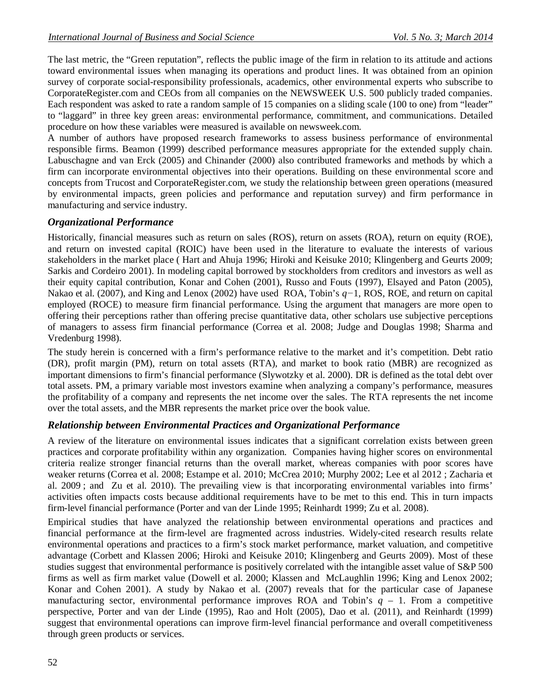The last metric, the "Green reputation", reflects the public image of the firm in relation to its attitude and actions toward environmental issues when managing its operations and product lines. It was obtained from an opinion survey of corporate social-responsibility professionals, academics, other environmental experts who subscribe to CorporateRegister.com and CEOs from all companies on the NEWSWEEK U.S. 500 publicly traded companies. Each respondent was asked to rate a random sample of 15 companies on a sliding scale (100 to one) from "leader" to "laggard" in three key green areas: environmental performance, commitment, and communications. Detailed procedure on how these variables were measured is available on newsweek.com.

A number of authors have proposed research frameworks to assess business performance of environmental responsible firms. Beamon (1999) described performance measures appropriate for the extended supply chain. Labuschagne and van Erck (2005) and Chinander (2000) also contributed frameworks and methods by which a firm can incorporate environmental objectives into their operations. Building on these environmental score and concepts from Trucost and CorporateRegister.com, we study the relationship between green operations (measured by environmental impacts, green policies and performance and reputation survey) and firm performance in manufacturing and service industry.

## *Organizational Performance*

Historically, financial measures such as return on sales (ROS), return on assets (ROA), return on equity (ROE), and return on invested capital (ROIC) have been used in the literature to evaluate the interests of various stakeholders in the market place ( Hart and Ahuja 1996; Hiroki and Keisuke 2010; Klingenberg and Geurts 2009; Sarkis and Cordeiro 2001). In modeling capital borrowed by stockholders from creditors and investors as well as their equity capital contribution, Konar and Cohen (2001), Russo and Fouts (1997), Elsayed and Paton (2005), Nakao et al. (2007), and King and Lenox (2002) have used ROA, Tobin's *q−*1, ROS, ROE, and return on capital employed (ROCE) to measure firm financial performance. Using the argument that managers are more open to offering their perceptions rather than offering precise quantitative data, other scholars use subjective perceptions of managers to assess firm financial performance (Correa et al. 2008; Judge and Douglas 1998; Sharma and Vredenburg 1998).

The study herein is concerned with a firm's performance relative to the market and it's competition. Debt ratio (DR), profit margin (PM), return on total assets (RTA), and market to book ratio (MBR) are recognized as important dimensions to firm's financial performance (Slywotzky et al. 2000). DR is defined as the total debt over total assets. PM, a primary variable most investors examine when analyzing a company's performance, measures the profitability of a company and represents the net income over the sales. The RTA represents the net income over the total assets, and the MBR represents the market price over the book value.

## *Relationship between Environmental Practices and Organizational Performance*

A review of the literature on environmental issues indicates that a significant correlation exists between green practices and corporate profitability within any organization. Companies having higher scores on environmental criteria realize stronger financial returns than the overall market, whereas companies with poor scores have weaker returns (Correa et al. 2008; Estampe et al. 2010; McCrea 2010; Murphy 2002; Lee et al 2012 ; Zacharia et al. 2009 ; and Zu et al. 2010). The prevailing view is that incorporating environmental variables into firms' activities often impacts costs because additional requirements have to be met to this end. This in turn impacts firm-level financial performance (Porter and van der Linde 1995; Reinhardt 1999; Zu et al. 2008).

Empirical studies that have analyzed the relationship between environmental operations and practices and financial performance at the firm-level are fragmented across industries. Widely-cited research results relate environmental operations and practices to a firm's stock market performance, market valuation, and competitive advantage (Corbett and Klassen 2006; Hiroki and Keisuke 2010; Klingenberg and Geurts 2009). Most of these studies suggest that environmental performance is positively correlated with the intangible asset value of S&P 500 firms as well as firm market value (Dowell et al. 2000; Klassen and McLaughlin 1996; King and Lenox 2002; Konar and Cohen 2001). A study by Nakao et al. (2007) reveals that for the particular case of Japanese manufacturing sector, environmental performance improves ROA and Tobin's  $q - 1$ . From a competitive perspective, Porter and van der Linde (1995), Rao and Holt (2005), Dao et al. (2011), and Reinhardt (1999) suggest that environmental operations can improve firm-level financial performance and overall competitiveness through green products or services.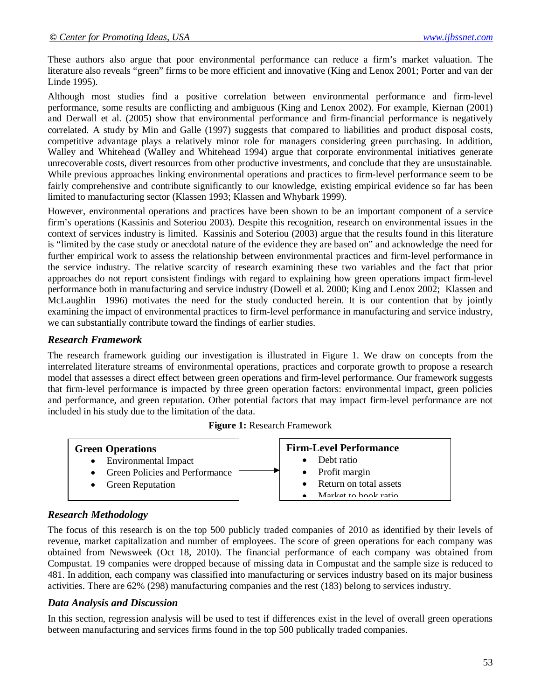These authors also argue that poor environmental performance can reduce a firm's market valuation. The literature also reveals "green" firms to be more efficient and innovative (King and Lenox 2001; Porter and van der Linde 1995).

Although most studies find a positive correlation between environmental performance and firm-level performance, some results are conflicting and ambiguous (King and Lenox 2002). For example, Kiernan (2001) and Derwall et al. (2005) show that environmental performance and firm-financial performance is negatively correlated. A study by Min and Galle (1997) suggests that compared to liabilities and product disposal costs, competitive advantage plays a relatively minor role for managers considering green purchasing. In addition, Walley and Whitehead (Walley and Whitehead 1994) argue that corporate environmental initiatives generate unrecoverable costs, divert resources from other productive investments, and conclude that they are unsustainable. While previous approaches linking environmental operations and practices to firm-level performance seem to be fairly comprehensive and contribute significantly to our knowledge, existing empirical evidence so far has been limited to manufacturing sector (Klassen 1993; Klassen and Whybark 1999).

However, environmental operations and practices have been shown to be an important component of a service firm's operations (Kassinis and Soteriou 2003). Despite this recognition, research on environmental issues in the context of services industry is limited. Kassinis and Soteriou (2003) argue that the results found in this literature is "limited by the case study or anecdotal nature of the evidence they are based on" and acknowledge the need for further empirical work to assess the relationship between environmental practices and firm-level performance in the service industry. The relative scarcity of research examining these two variables and the fact that prior approaches do not report consistent findings with regard to explaining how green operations impact firm-level performance both in manufacturing and service industry (Dowell et al. 2000; King and Lenox 2002; Klassen and McLaughlin 1996) motivates the need for the study conducted herein. It is our contention that by jointly examining the impact of environmental practices to firm-level performance in manufacturing and service industry, we can substantially contribute toward the findings of earlier studies.

### *Research Framework*

The research framework guiding our investigation is illustrated in Figure 1. We draw on concepts from the interrelated literature streams of environmental operations, practices and corporate growth to propose a research model that assesses a direct effect between green operations and firm-level performance. Our framework suggests that firm-level performance is impacted by three green operation factors: environmental impact, green policies and performance, and green reputation. Other potential factors that may impact firm-level performance are not included in his study due to the limitation of the data.

|  |  |  | Figure 1: Research Framework |  |
|--|--|--|------------------------------|--|
|--|--|--|------------------------------|--|



## *Research Methodology*

The focus of this research is on the top 500 publicly traded companies of 2010 as identified by their levels of revenue, market capitalization and number of employees. The score of green operations for each company was obtained from Newsweek (Oct 18, 2010). The financial performance of each company was obtained from Compustat. 19 companies were dropped because of missing data in Compustat and the sample size is reduced to 481. In addition, each company was classified into manufacturing or services industry based on its major business activities. There are 62% (298) manufacturing companies and the rest (183) belong to services industry.

### *Data Analysis and Discussion*

In this section, regression analysis will be used to test if differences exist in the level of overall green operations between manufacturing and services firms found in the top 500 publically traded companies.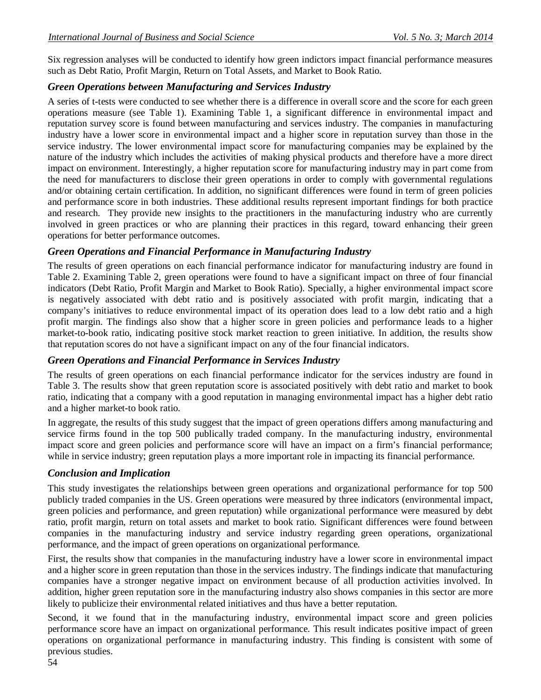Six regression analyses will be conducted to identify how green indictors impact financial performance measures such as Debt Ratio, Profit Margin, Return on Total Assets, and Market to Book Ratio.

## *Green Operations between Manufacturing and Services Industry*

A series of t-tests were conducted to see whether there is a difference in overall score and the score for each green operations measure (see Table 1). Examining Table 1, a significant difference in environmental impact and reputation survey score is found between manufacturing and services industry. The companies in manufacturing industry have a lower score in environmental impact and a higher score in reputation survey than those in the service industry. The lower environmental impact score for manufacturing companies may be explained by the nature of the industry which includes the activities of making physical products and therefore have a more direct impact on environment. Interestingly, a higher reputation score for manufacturing industry may in part come from the need for manufacturers to disclose their green operations in order to comply with governmental regulations and/or obtaining certain certification. In addition, no significant differences were found in term of green policies and performance score in both industries. These additional results represent important findings for both practice and research. They provide new insights to the practitioners in the manufacturing industry who are currently involved in green practices or who are planning their practices in this regard, toward enhancing their green operations for better performance outcomes.

## *Green Operations and Financial Performance in Manufacturing Industry*

The results of green operations on each financial performance indicator for manufacturing industry are found in Table 2. Examining Table 2, green operations were found to have a significant impact on three of four financial indicators (Debt Ratio, Profit Margin and Market to Book Ratio). Specially, a higher environmental impact score is negatively associated with debt ratio and is positively associated with profit margin, indicating that a company's initiatives to reduce environmental impact of its operation does lead to a low debt ratio and a high profit margin. The findings also show that a higher score in green policies and performance leads to a higher market-to-book ratio, indicating positive stock market reaction to green initiative. In addition, the results show that reputation scores do not have a significant impact on any of the four financial indicators.

## *Green Operations and Financial Performance in Services Industry*

The results of green operations on each financial performance indicator for the services industry are found in Table 3. The results show that green reputation score is associated positively with debt ratio and market to book ratio, indicating that a company with a good reputation in managing environmental impact has a higher debt ratio and a higher market-to book ratio.

In aggregate, the results of this study suggest that the impact of green operations differs among manufacturing and service firms found in the top 500 publically traded company. In the manufacturing industry, environmental impact score and green policies and performance score will have an impact on a firm's financial performance; while in service industry; green reputation plays a more important role in impacting its financial performance.

## *Conclusion and Implication*

This study investigates the relationships between green operations and organizational performance for top 500 publicly traded companies in the US. Green operations were measured by three indicators (environmental impact, green policies and performance, and green reputation) while organizational performance were measured by debt ratio, profit margin, return on total assets and market to book ratio. Significant differences were found between companies in the manufacturing industry and service industry regarding green operations, organizational performance, and the impact of green operations on organizational performance.

First, the results show that companies in the manufacturing industry have a lower score in environmental impact and a higher score in green reputation than those in the services industry. The findings indicate that manufacturing companies have a stronger negative impact on environment because of all production activities involved. In addition, higher green reputation sore in the manufacturing industry also shows companies in this sector are more likely to publicize their environmental related initiatives and thus have a better reputation.

Second, it we found that in the manufacturing industry, environmental impact score and green policies performance score have an impact on organizational performance. This result indicates positive impact of green operations on organizational performance in manufacturing industry. This finding is consistent with some of previous studies.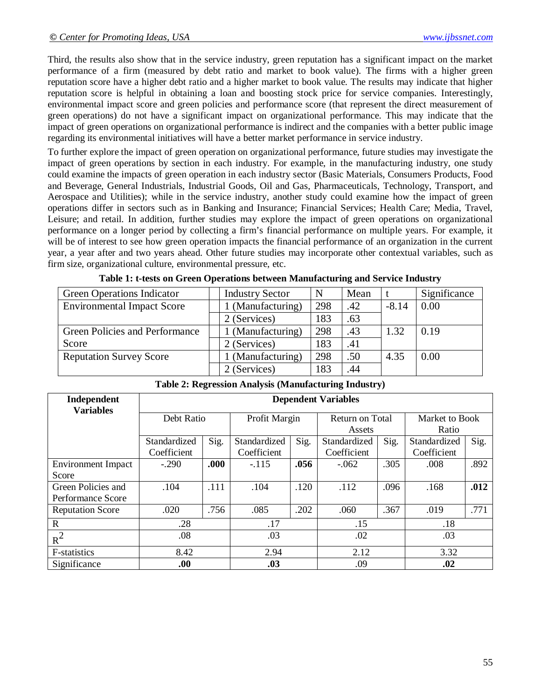Third, the results also show that in the service industry, green reputation has a significant impact on the market performance of a firm (measured by debt ratio and market to book value). The firms with a higher green reputation score have a higher debt ratio and a higher market to book value. The results may indicate that higher reputation score is helpful in obtaining a loan and boosting stock price for service companies. Interestingly, environmental impact score and green policies and performance score (that represent the direct measurement of green operations) do not have a significant impact on organizational performance. This may indicate that the impact of green operations on organizational performance is indirect and the companies with a better public image regarding its environmental initiatives will have a better market performance in service industry.

To further explore the impact of green operation on organizational performance, future studies may investigate the impact of green operations by section in each industry. For example, in the manufacturing industry, one study could examine the impacts of green operation in each industry sector (Basic Materials, Consumers Products, Food and Beverage, General Industrials, Industrial Goods, Oil and Gas, Pharmaceuticals, Technology, Transport, and Aerospace and Utilities); while in the service industry, another study could examine how the impact of green operations differ in sectors such as in Banking and Insurance; Financial Services; Health Care; Media, Travel, Leisure; and retail. In addition, further studies may explore the impact of green operations on organizational performance on a longer period by collecting a firm's financial performance on multiple years. For example, it will be of interest to see how green operation impacts the financial performance of an organization in the current year, a year after and two years ahead. Other future studies may incorporate other contextual variables, such as firm size, organizational culture, environmental pressure, etc.

| <b>Green Operations Indicator</b>     | <b>Industry Sector</b> | N   | Mean |         | Significance |
|---------------------------------------|------------------------|-----|------|---------|--------------|
| <b>Environmental Impact Score</b>     | 1 (Manufacturing)      | 298 | .42  | $-8.14$ | 0.00         |
|                                       | 2 (Services)           | 183 | .63  |         |              |
| <b>Green Policies and Performance</b> | 1 (Manufacturing)      | 298 | .43  | 1.32    | 0.19         |
| Score                                 | 2 (Services)           | 183 | .41  |         |              |
| <b>Reputation Survey Score</b>        | 1 (Manufacturing)      | 298 | .50  | 4.35    | 0.00         |
|                                       | 2 (Services)           | 183 | .44  |         |              |

| Independent<br><b>Variables</b> | <b>Dependent Variables</b> |      |               |      |                 |      |                |      |  |
|---------------------------------|----------------------------|------|---------------|------|-----------------|------|----------------|------|--|
|                                 | Debt Ratio                 |      | Profit Margin |      | Return on Total |      | Market to Book |      |  |
|                                 |                            |      |               |      | Assets          |      | Ratio          |      |  |
|                                 | Standardized               | Sig. | Standardized  | Sig. | Standardized    | Sig. | Standardized   | Sig. |  |
|                                 | Coefficient                |      | Coefficient   |      | Coefficient     |      | Coefficient    |      |  |
| <b>Environment Impact</b>       | $-.290$                    | .000 | $-.115$       | .056 | $-.062$         | .305 | .008           | .892 |  |
| Score                           |                            |      |               |      |                 |      |                |      |  |
| Green Policies and              | .104                       | .111 | .104          | .120 | .112            | .096 | .168           | .012 |  |
| Performance Score               |                            |      |               |      |                 |      |                |      |  |
| <b>Reputation Score</b>         | .020                       | .756 | .085          | .202 | .060            | .367 | .019           | .771 |  |
| $\mathbf R$                     | .28                        |      | .17           |      | .15             |      | .18            |      |  |
| $R^2$                           | .08                        |      | .03           |      | .02             |      | .03            |      |  |
| <b>F</b> -statistics            | 8.42                       |      | 2.94          |      | 2.12            |      | 3.32           |      |  |
| Significance                    | .00.                       |      | .03           |      | .09             |      | .02            |      |  |

#### **Table 2: Regression Analysis (Manufacturing Industry)**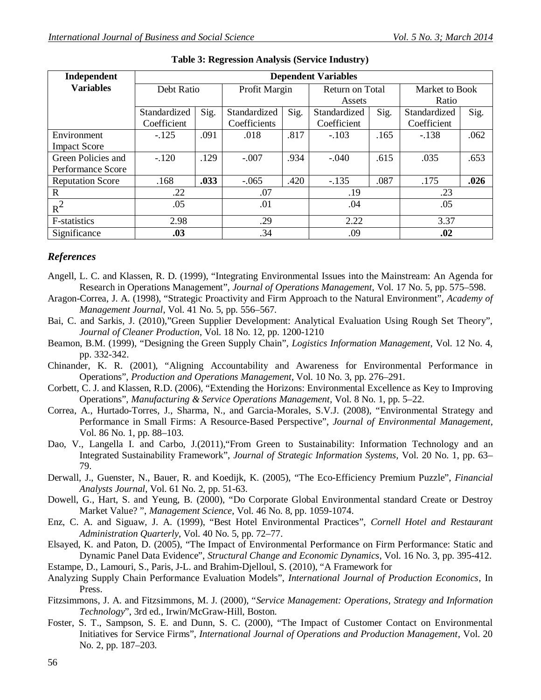| Independent             | <b>Dependent Variables</b> |      |               |      |                 |      |                |      |
|-------------------------|----------------------------|------|---------------|------|-----------------|------|----------------|------|
| <b>Variables</b>        | Debt Ratio                 |      | Profit Margin |      | Return on Total |      | Market to Book |      |
|                         |                            |      |               |      | Assets          |      | Ratio          |      |
|                         | Standardized               | Sig. | Standardized  | Sig. | Standardized    | Sig. | Standardized   | Sig. |
|                         | Coefficient                |      | Coefficients  |      | Coefficient     |      | Coefficient    |      |
| Environment             | $-.125$                    | .091 | .018          | .817 | $-.103$         | .165 | $-.138$        | .062 |
| <b>Impact Score</b>     |                            |      |               |      |                 |      |                |      |
| Green Policies and      | $-.120$                    | .129 | $-.007$       | .934 | .615<br>$-.040$ |      | .035           | .653 |
| Performance Score       |                            |      |               |      |                 |      |                |      |
| <b>Reputation Score</b> | .168                       | .033 | $-.065$       | .420 | $-.135$         | .087 | .175           | .026 |
| $\mathbf R$             | .22                        |      | .07           |      | .19             |      | .23            |      |
| $R^2$                   | .05                        |      | .01           |      | .04             |      | .05            |      |
| <b>F-statistics</b>     | 2.98                       |      | .29           |      | 2.22            |      | 3.37           |      |
| Significance            | .03                        | .34  |               | .09  |                 | .02  |                |      |

### *References*

- Angell, L. C. and Klassen, R. D. (1999), "Integrating Environmental Issues into the Mainstream: An Agenda for Research in Operations Management", *Journal of Operations Management*, Vol. 17 No. 5, pp. 575–598.
- Aragon-Correa, J. A. (1998), "Strategic Proactivity and Firm Approach to the Natural Environment", *Academy of Management Journal*, Vol. 41 No. 5, pp. 556–567.
- Bai, C. and Sarkis, J. (2010),"Green Supplier Development: Analytical Evaluation Using Rough Set Theory", *Journal of Cleaner Production*, Vol. 18 No. 12, pp. 1200-1210
- Beamon, B.M. (1999), "Designing the Green Supply Chain", *Logistics Information Management*, Vol. 12 No. 4, pp. 332-342.
- Chinander, K. R. (2001), "Aligning Accountability and Awareness for Environmental Performance in Operations", *Production and Operations Management*, Vol. 10 No. 3, pp. 276–291.
- Corbett, C. J. and Klassen, R.D. (2006), "Extending the Horizons: Environmental Excellence as Key to Improving Operations", *Manufacturing & Service Operations Management*, Vol. 8 No. 1, pp. 5–22.
- Correa, A., Hurtado-Torres, J., Sharma, N., and Garcia-Morales, S.V.J. (2008), "Environmental Strategy and Performance in Small Firms: A Resource-Based Perspective", *Journal of Environmental Management*, Vol. 86 No. 1, pp. 88–103.
- Dao, V., Langella I. and Carbo, J.(2011),"From Green to Sustainability: Information Technology and an Integrated Sustainability Framework", *Journal of Strategic Information Systems,* Vol. 20 No. 1, pp. 63– 79.
- Derwall, J., Guenster, N., Bauer, R. and Koedijk, K. (2005), "The Eco-Efficiency Premium Puzzle", *Financial Analysts Journal*, Vol. 61 No. 2, pp. 51-63.
- Dowell, G., Hart, S. and Yeung, B. (2000), "Do Corporate Global Environmental standard Create or Destroy Market Value? ", *Management Science,* Vol. 46 No. 8, pp. 1059-1074.
- Enz, C. A. and Siguaw, J. A. (1999), "Best Hotel Environmental Practices", *Cornell Hotel and Restaurant Administration Quarterly*, Vol. 40 No. 5, pp. 72–77.
- Elsayed, K. and Paton, D. (2005), "The Impact of Environmental Performance on Firm Performance: Static and Dynamic Panel Data Evidence", *Structural Change and Economic Dynamics*, Vol. 16 No. 3, pp. 395-412.
- Estampe, D., Lamouri, S., Paris, J-L. and Brahim-Djelloul, S. (2010), "A Framework for
- Analyzing Supply Chain Performance Evaluation Models", *International Journal of Production Economics*, In Press.
- Fitzsimmons, J. A. and Fitzsimmons, M. J. (2000), "*Service Management: Operations, Strategy and Information Technology*", 3rd ed., Irwin/McGraw-Hill, Boston.
- Foster, S. T., Sampson, S. E. and Dunn, S. C. (2000), "The Impact of Customer Contact on Environmental Initiatives for Service Firms", *International Journal of Operations and Production Management*, Vol. 20 No. 2, pp. 187–203.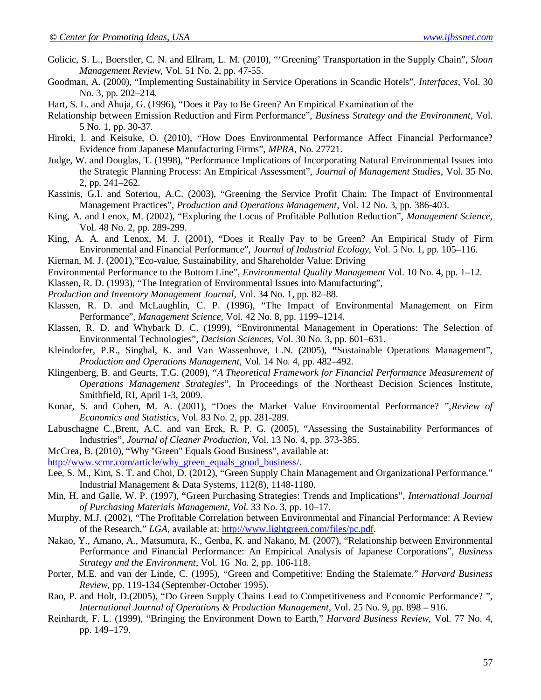- Golicic, S. L., Boerstler, C. N. and Ellram, L. M. (2010), "'Greening' Transportation in the Supply Chain", *Sloan Management Review*, Vol. 51 No. 2, pp. 47-55.
- Goodman, A. (2000), "Implementing Sustainability in Service Operations in Scandic Hotels", *Interfaces*, Vol. 30 No. 3, pp. 202–214.
- Hart, S. L. and Ahuja, G. (1996), "Does it Pay to Be Green? An Empirical Examination of the
- Relationship between Emission Reduction and Firm Performance", *Business Strategy and the Environment*, Vol. 5 No. 1, pp. 30-37.
- Hiroki, I. and Keisuke, O. (2010), "How Does Environmental Performance Affect Financial Performance? Evidence from Japanese Manufacturing Firms", *MPRA*, No. 27721.
- Judge, W. and Douglas, T. (1998), "Performance Implications of Incorporating Natural Environmental Issues into the Strategic Planning Process: An Empirical Assessment", *Journal of Management Studies*, Vol. 35 No. 2, pp. 241–262.
- Kassinis, G.I. and Soteriou, A.C. (2003), "Greening the Service Profit Chain: The Impact of Environmental Management Practices", *Production and Operations Management*, Vol. 12 No. 3, pp. 386-403.
- King, A. and Lenox, M. (2002), "Exploring the Locus of Profitable Pollution Reduction", *Management Science*, Vol. 48 No. 2, pp. 289-299.
- King, A. A. and Lenox, M. J. (2001), "Does it Really Pay to be Green? An Empirical Study of Firm Environmental and Financial Performance", *Journal of Industrial Ecology*, Vol. 5 No. 1, pp. 105–116.
- Kiernan, M. J. (2001),"Eco-value, Sustainability, and Shareholder Value: Driving
- Environmental Performance to the Bottom Line", *Environmental Quality Management* Vol. 10 No. 4, pp. 1–12.
- Klassen, R. D. (1993), "The Integration of Environmental Issues into Manufacturing",
- *Production and Inventory Management Journal*, Vol. 34 No. 1, pp. 82–88.
- Klassen, R. D. and McLaughlin, C. P. (1996), "The Impact of Environmental Management on Firm Performance", *Management Science,* Vol. 42 No. 8, pp. 1199–1214.
- Klassen, R. D. and Whybark D. C. (1999), "Environmental Management in Operations: The Selection of Environmental Technologies", *Decision Sciences*, Vol. 30 No. 3, pp. 601–631.
- Kleindorfer, P.R., Singhal, K. and Van Wassenhove, L.N. (2005), **"**Sustainable Operations Management", *Production and Operations Management*, Vol. 14 No. 4, pp. 482–492.
- Klingenberg, B. and Geurts, T.G. (2009), "*A Theoretical Framework for Financial Performance Measurement of Operations Management Strategies*", In Proceedings of the Northeast Decision Sciences Institute, Smithfield, RI, April 1-3, 2009.
- Konar, S. and Cohen, M. A. (2001), "Does the Market Value Environmental Performance? ",*Review of Economics and Statistics*, Vol. 83 No. 2, pp. 281-289.
- Labuschagne C.,Brent, A.C. and van Erck, R. P. G. (2005), "Assessing the Sustainability Performances of Industries", *Journal of Cleaner Production*, Vol. 13 No. 4, pp. 373-385.
- McCrea, B. (2010), "Why ''Green" Equals Good Business", available at:
- http://www.scmr.com/article/why\_green\_equals\_good\_business/.
- Lee, S. M., Kim, S. T. and Choi, D. (2012), "Green Supply Chain Management and Organizational Performance." Industrial Management & Data Systems, 112(8), 1148-1180.
- Min, H. and Galle, W. P. (1997), "Green Purchasing Strategies: Trends and Implications", *International Journal of Purchasing Materials Management*, *Vol.* 33 No. 3, pp. 10–17.
- Murphy, M.J. (2002), "The Profitable Correlation between Environmental and Financial Performance: A Review of the Research," *LGA,* available at: http://www.lightgreen.com/files/pc.pdf.
- Nakao, Y., Amano, A., Matsumura, K., Genba, K. and Nakano, M. (2007), "Relationship between Environmental Performance and Financial Performance: An Empirical Analysis of Japanese Corporations", *Business Strategy and the Environment*, Vol. 16 No. 2, pp. 106-118.
- Porter, M.E. and van der Linde, C. (1995), "Green and Competitive: Ending the Stalemate." *Harvard Business Review*, pp. 119-134 (September-October 1995).
- Rao, P. and Holt, D.(2005), "Do Green Supply Chains Lead to Competitiveness and Economic Performance? ", *International Journal of Operations & Production Management,* Vol. 25 No. 9, pp. 898 – 916.
- Reinhardt, F. L. (1999), "Bringing the Environment Down to Earth," *Harvard Business Review,* Vol. 77 No. 4, pp. 149–179.